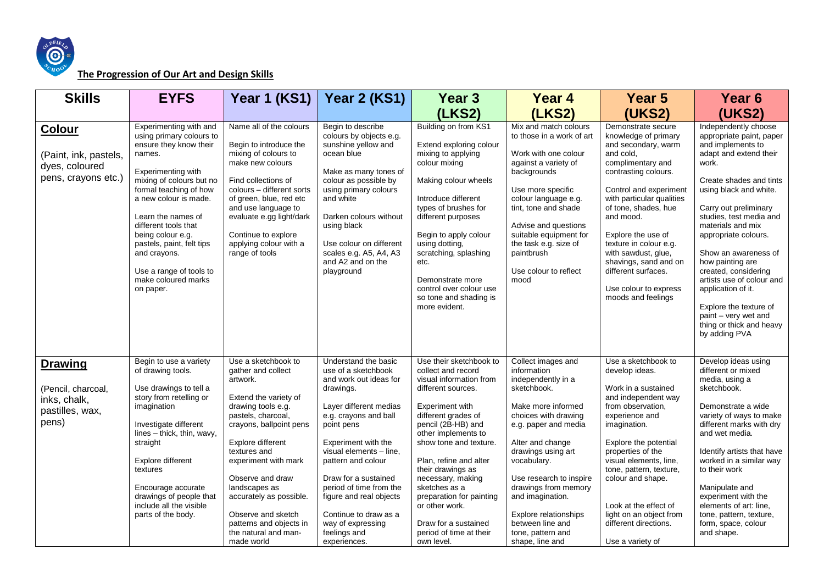

## **The Progression of Our Art and Design Skills**

| <b>Skills</b>                                                                    | <b>EYFS</b>                                                                                                                                                                                                                                                                                                                                                                | Year 1 (KS1)                                                                                                                                                                                                                                                                                                                                                              | Year 2 (KS1)                                                                                                                                                                                                                                                                                                                                                                            | Year <sub>3</sub>                                                                                                                                                                                                                                                                                                                                                                                                   | Year 4                                                                                                                                                                                                                                                                                                                                                            | Year <sub>5</sub>                                                                                                                                                                                                                                                                                                                                                                             | Year <sub>6</sub>                                                                                                                                                                                                                                                                                                                                                                                                                                                                    |
|----------------------------------------------------------------------------------|----------------------------------------------------------------------------------------------------------------------------------------------------------------------------------------------------------------------------------------------------------------------------------------------------------------------------------------------------------------------------|---------------------------------------------------------------------------------------------------------------------------------------------------------------------------------------------------------------------------------------------------------------------------------------------------------------------------------------------------------------------------|-----------------------------------------------------------------------------------------------------------------------------------------------------------------------------------------------------------------------------------------------------------------------------------------------------------------------------------------------------------------------------------------|---------------------------------------------------------------------------------------------------------------------------------------------------------------------------------------------------------------------------------------------------------------------------------------------------------------------------------------------------------------------------------------------------------------------|-------------------------------------------------------------------------------------------------------------------------------------------------------------------------------------------------------------------------------------------------------------------------------------------------------------------------------------------------------------------|-----------------------------------------------------------------------------------------------------------------------------------------------------------------------------------------------------------------------------------------------------------------------------------------------------------------------------------------------------------------------------------------------|--------------------------------------------------------------------------------------------------------------------------------------------------------------------------------------------------------------------------------------------------------------------------------------------------------------------------------------------------------------------------------------------------------------------------------------------------------------------------------------|
|                                                                                  |                                                                                                                                                                                                                                                                                                                                                                            |                                                                                                                                                                                                                                                                                                                                                                           |                                                                                                                                                                                                                                                                                                                                                                                         | (LKS2)                                                                                                                                                                                                                                                                                                                                                                                                              | (LKS2)                                                                                                                                                                                                                                                                                                                                                            | <b>(UKS2)</b>                                                                                                                                                                                                                                                                                                                                                                                 | <b>(UKS2)</b>                                                                                                                                                                                                                                                                                                                                                                                                                                                                        |
| Colour<br>(Paint, ink, pastels,<br>dyes, coloured<br>pens, crayons etc.)         | Experimenting with and<br>using primary colours to<br>ensure they know their<br>names.<br>Experimenting with<br>mixing of colours but no<br>formal teaching of how<br>a new colour is made.<br>Learn the names of<br>different tools that<br>being colour e.g.<br>pastels, paint, felt tips<br>and crayons.<br>Use a range of tools to<br>make coloured marks<br>on paper. | Name all of the colours<br>Begin to introduce the<br>mixing of colours to<br>make new colours<br>Find collections of<br>colours - different sorts<br>of green, blue, red etc<br>and use language to<br>evaluate e.gg light/dark<br>Continue to explore<br>applying colour with a<br>range of tools                                                                        | Begin to describe<br>colours by objects e.g.<br>sunshine yellow and<br>ocean blue<br>Make as many tones of<br>colour as possible by<br>using primary colours<br>and white<br>Darken colours without<br>using black<br>Use colour on different<br>scales e.g. A5, A4, A3<br>and A2 and on the<br>playground                                                                              | Building on from KS1<br>Extend exploring colour<br>mixing to applying<br>colour mixing<br>Making colour wheels<br>Introduce different<br>types of brushes for<br>different purposes<br>Begin to apply colour<br>using dotting.<br>scratching, splashing<br>etc.<br>Demonstrate more<br>control over colour use<br>so tone and shading is<br>more evident.                                                           | Mix and match colours<br>to those in a work of art<br>Work with one colour<br>against a variety of<br>backgrounds<br>Use more specific<br>colour language e.g.<br>tint, tone and shade<br>Advise and questions<br>suitable equipment for<br>the task e.g. size of<br>paintbrush<br>Use colour to reflect<br>mood                                                  | Demonstrate secure<br>knowledge of primary<br>and secondary, warm<br>and cold,<br>complimentary and<br>contrasting colours.<br>Control and experiment<br>with particular qualities<br>of tone, shades, hue<br>and mood.<br>Explore the use of<br>texture in colour e.g.<br>with sawdust, glue,<br>shavings, sand and on<br>different surfaces.<br>Use colour to express<br>moods and feelings | Independently choose<br>appropriate paint, paper<br>and implements to<br>adapt and extend their<br>work.<br>Create shades and tints<br>using black and white.<br>Carry out preliminary<br>studies, test media and<br>materials and mix<br>appropriate colours.<br>Show an awareness of<br>how painting are<br>created, considering<br>artists use of colour and<br>application of it.<br>Explore the texture of<br>paint - very wet and<br>thing or thick and heavy<br>by adding PVA |
| <b>Drawing</b><br>(Pencil, charcoal,<br>inks, chalk,<br>pastilles, wax,<br>pens) | Begin to use a variety<br>of drawing tools.<br>Use drawings to tell a<br>story from retelling or<br>imagination<br>Investigate different<br>lines - thick, thin, wavy,<br>straight<br>Explore different<br>textures<br>Encourage accurate<br>drawings of people that<br>include all the visible<br>parts of the body.                                                      | Use a sketchbook to<br>gather and collect<br>artwork.<br>Extend the variety of<br>drawing tools e.g.<br>pastels, charcoal,<br>crayons, ballpoint pens<br>Explore different<br>textures and<br>experiment with mark<br>Observe and draw<br>landscapes as<br>accurately as possible.<br>Observe and sketch<br>patterns and objects in<br>the natural and man-<br>made world | Understand the basic<br>use of a sketchbook<br>and work out ideas for<br>drawings.<br>Layer different medias<br>e.g. crayons and ball<br>point pens<br>Experiment with the<br>visual elements - line,<br>pattern and colour<br>Draw for a sustained<br>period of time from the<br>figure and real objects<br>Continue to draw as a<br>way of expressing<br>feelings and<br>experiences. | Use their sketchbook to<br>collect and record<br>visual information from<br>different sources.<br>Experiment with<br>different grades of<br>pencil (2B-HB) and<br>other implements to<br>show tone and texture.<br>Plan, refine and alter<br>their drawings as<br>necessary, making<br>sketches as a<br>preparation for painting<br>or other work.<br>Draw for a sustained<br>period of time at their<br>own level. | Collect images and<br>information<br>independently in a<br>sketchbook.<br>Make more informed<br>choices with drawing<br>e.g. paper and media<br>Alter and change<br>drawings using art<br>vocabulary.<br>Use research to inspire<br>drawings from memory<br>and imagination.<br>Explore relationships<br>between line and<br>tone, pattern and<br>shape, line and | Use a sketchbook to<br>develop ideas.<br>Work in a sustained<br>and independent way<br>from observation,<br>experience and<br>imagination.<br>Explore the potential<br>properties of the<br>visual elements, line,<br>tone, pattern, texture,<br>colour and shape.<br>Look at the effect of<br>light on an object from<br>different directions.<br>Use a variety of                           | Develop ideas using<br>different or mixed<br>media, using a<br>sketchbook.<br>Demonstrate a wide<br>variety of ways to make<br>different marks with dry<br>and wet media.<br>Identify artists that have<br>worked in a similar way<br>to their work<br>Manipulate and<br>experiment with the<br>elements of art: line,<br>tone, pattern, texture,<br>form, space, colour<br>and shape.                                                                                               |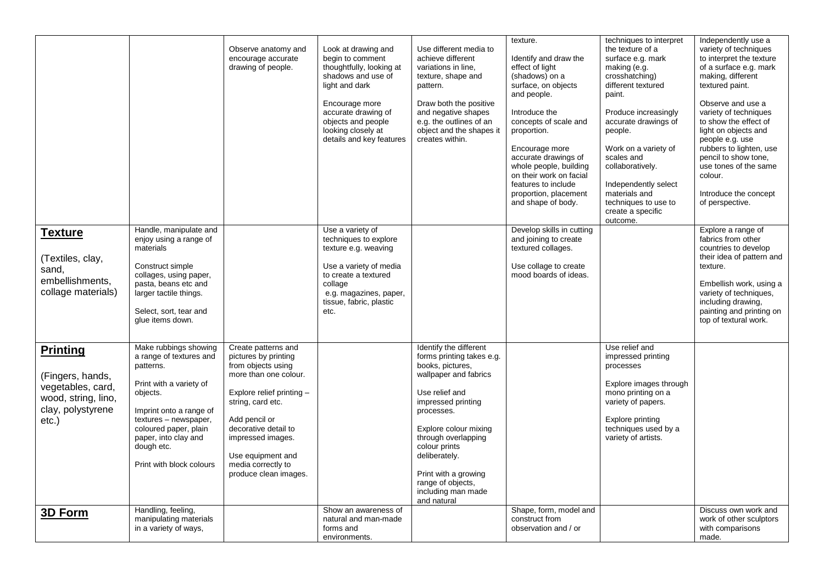| <b>Texture</b><br>(Textiles, clay,<br>sand,<br>embellishments,<br>collage materials)                          | Handle, manipulate and<br>enjoy using a range of<br>materials<br>Construct simple<br>collages, using paper,<br>pasta, beans etc and<br>larger tactile things.<br>Select, sort, tear and<br>glue items down.                                         | Observe anatomy and<br>encourage accurate<br>drawing of people.                                                                                                                                                                                                                | Look at drawing and<br>begin to comment<br>thoughtfully, looking at<br>shadows and use of<br>light and dark<br>Encourage more<br>accurate drawing of<br>objects and people<br>looking closely at<br>details and key features<br>Use a variety of<br>techniques to explore<br>texture e.g. weaving<br>Use a variety of media<br>to create a textured<br>collage<br>e.g. magazines, paper,<br>tissue, fabric, plastic<br>etc. | Use different media to<br>achieve different<br>variations in line,<br>texture, shape and<br>pattern.<br>Draw both the positive<br>and negative shapes<br>e.g. the outlines of an<br>object and the shapes it<br>creates within.                                                                                            | texture.<br>Identify and draw the<br>effect of light<br>(shadows) on a<br>surface, on objects<br>and people.<br>Introduce the<br>concepts of scale and<br>proportion.<br>Encourage more<br>accurate drawings of<br>whole people, building<br>on their work on facial<br>features to include<br>proportion, placement<br>and shape of body.<br>Develop skills in cutting<br>and joining to create<br>textured collages.<br>Use collage to create<br>mood boards of ideas. | techniques to interpret<br>the texture of a<br>surface e.g. mark<br>making (e.g.<br>crosshatching)<br>different textured<br>paint.<br>Produce increasingly<br>accurate drawings of<br>people.<br>Work on a variety of<br>scales and<br>collaboratively.<br>Independently select<br>materials and<br>techniques to use to<br>create a specific<br>outcome. | Independently use a<br>variety of techniques<br>to interpret the texture<br>of a surface e.g. mark<br>making, different<br>textured paint.<br>Observe and use a<br>variety of techniques<br>to show the effect of<br>light on objects and<br>people e.g. use<br>rubbers to lighten, use<br>pencil to show tone,<br>use tones of the same<br>colour.<br>Introduce the concept<br>of perspective.<br>Explore a range of<br>fabrics from other<br>countries to develop<br>their idea of pattern and<br>texture.<br>Embellish work, using a<br>variety of techniques,<br>including drawing,<br>painting and printing on<br>top of textural work. |
|---------------------------------------------------------------------------------------------------------------|-----------------------------------------------------------------------------------------------------------------------------------------------------------------------------------------------------------------------------------------------------|--------------------------------------------------------------------------------------------------------------------------------------------------------------------------------------------------------------------------------------------------------------------------------|-----------------------------------------------------------------------------------------------------------------------------------------------------------------------------------------------------------------------------------------------------------------------------------------------------------------------------------------------------------------------------------------------------------------------------|----------------------------------------------------------------------------------------------------------------------------------------------------------------------------------------------------------------------------------------------------------------------------------------------------------------------------|--------------------------------------------------------------------------------------------------------------------------------------------------------------------------------------------------------------------------------------------------------------------------------------------------------------------------------------------------------------------------------------------------------------------------------------------------------------------------|-----------------------------------------------------------------------------------------------------------------------------------------------------------------------------------------------------------------------------------------------------------------------------------------------------------------------------------------------------------|----------------------------------------------------------------------------------------------------------------------------------------------------------------------------------------------------------------------------------------------------------------------------------------------------------------------------------------------------------------------------------------------------------------------------------------------------------------------------------------------------------------------------------------------------------------------------------------------------------------------------------------------|
| <b>Printing</b><br>(Fingers, hands,<br>vegetables, card,<br>wood, string, lino,<br>clay, polystyrene<br>etc.) | Make rubbings showing<br>a range of textures and<br>patterns.<br>Print with a variety of<br>objects.<br>Imprint onto a range of<br>textures - newspaper,<br>coloured paper, plain<br>paper, into clay and<br>dough etc.<br>Print with block colours | Create patterns and<br>pictures by printing<br>from objects using<br>more than one colour.<br>Explore relief printing -<br>string, card etc.<br>Add pencil or<br>decorative detail to<br>impressed images.<br>Use equipment and<br>media correctly to<br>produce clean images. |                                                                                                                                                                                                                                                                                                                                                                                                                             | Identify the different<br>forms printing takes e.g.<br>books, pictures,<br>wallpaper and fabrics<br>Use relief and<br>impressed printing<br>processes.<br>Explore colour mixing<br>through overlapping<br>colour prints<br>deliberately.<br>Print with a growing<br>range of objects.<br>including man made<br>and natural |                                                                                                                                                                                                                                                                                                                                                                                                                                                                          | Use relief and<br>impressed printing<br>processes<br>Explore images through<br>mono printing on a<br>variety of papers.<br>Explore printing<br>techniques used by a<br>variety of artists.                                                                                                                                                                |                                                                                                                                                                                                                                                                                                                                                                                                                                                                                                                                                                                                                                              |
| 3D Form                                                                                                       | Handling, feeling,<br>manipulating materials<br>in a variety of ways,                                                                                                                                                                               |                                                                                                                                                                                                                                                                                | Show an awareness of<br>natural and man-made<br>forms and<br>environments.                                                                                                                                                                                                                                                                                                                                                  |                                                                                                                                                                                                                                                                                                                            | Shape, form, model and<br>construct from<br>observation and / or                                                                                                                                                                                                                                                                                                                                                                                                         |                                                                                                                                                                                                                                                                                                                                                           | Discuss own work and<br>work of other sculptors<br>with comparisons<br>made.                                                                                                                                                                                                                                                                                                                                                                                                                                                                                                                                                                 |